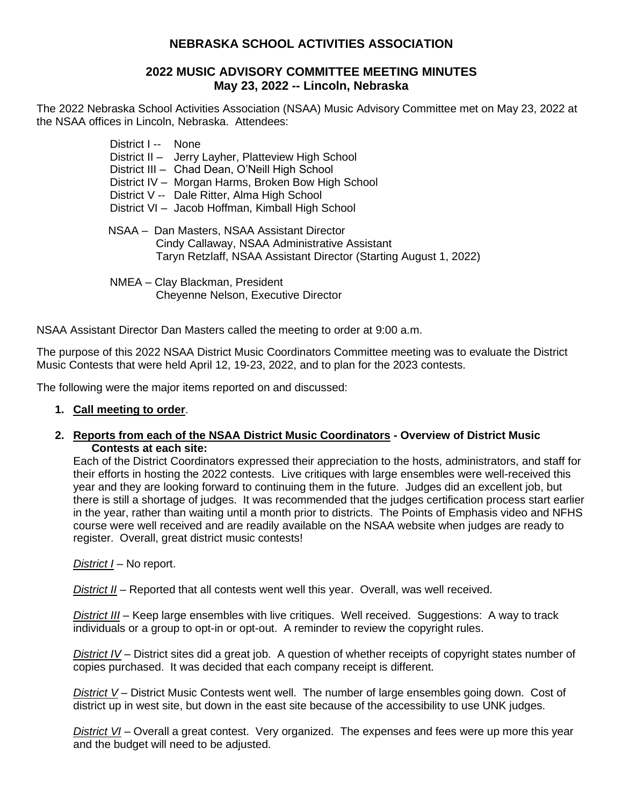# **NEBRASKA SCHOOL ACTIVITIES ASSOCIATION**

### **2022 MUSIC ADVISORY COMMITTEE MEETING MINUTES May 23, 2022 -- Lincoln, Nebraska**

The 2022 Nebraska School Activities Association (NSAA) Music Advisory Committee met on May 23, 2022 at the NSAA offices in Lincoln, Nebraska. Attendees:

> District I -- None District II – Jerry Layher, Platteview High School District III – Chad Dean, O'Neill High School District IV – Morgan Harms, Broken Bow High School District V -- Dale Ritter, Alma High School District VI – Jacob Hoffman, Kimball High School NSAA – Dan Masters, NSAA Assistant Director Cindy Callaway, NSAA Administrative Assistant Taryn Retzlaff, NSAA Assistant Director (Starting August 1, 2022) NMEA – Clay Blackman, President

Cheyenne Nelson, Executive Director

NSAA Assistant Director Dan Masters called the meeting to order at 9:00 a.m.

The purpose of this 2022 NSAA District Music Coordinators Committee meeting was to evaluate the District Music Contests that were held April 12, 19-23, 2022, and to plan for the 2023 contests.

The following were the major items reported on and discussed:

- **1. Call meeting to order**.
- **2. Reports from each of the NSAA District Music Coordinators - Overview of District Music Contests at each site:**

Each of the District Coordinators expressed their appreciation to the hosts, administrators, and staff for their efforts in hosting the 2022 contests. Live critiques with large ensembles were well-received this year and they are looking forward to continuing them in the future. Judges did an excellent job, but there is still a shortage of judges. It was recommended that the judges certification process start earlier in the year, rather than waiting until a month prior to districts. The Points of Emphasis video and NFHS course were well received and are readily available on the NSAA website when judges are ready to register. Overall, great district music contests!

*District I* – No report.

*District II* – Reported that all contests went well this year. Overall, was well received.

*District III* – Keep large ensembles with live critiques. Well received. Suggestions: A way to track individuals or a group to opt-in or opt-out. A reminder to review the copyright rules.

*District IV* – District sites did a great job. A question of whether receipts of copyright states number of copies purchased. It was decided that each company receipt is different.

**District V** – District Music Contests went well. The number of large ensembles going down. Cost of district up in west site, but down in the east site because of the accessibility to use UNK judges.

*District VI* – Overall a great contest. Very organized. The expenses and fees were up more this year and the budget will need to be adjusted.